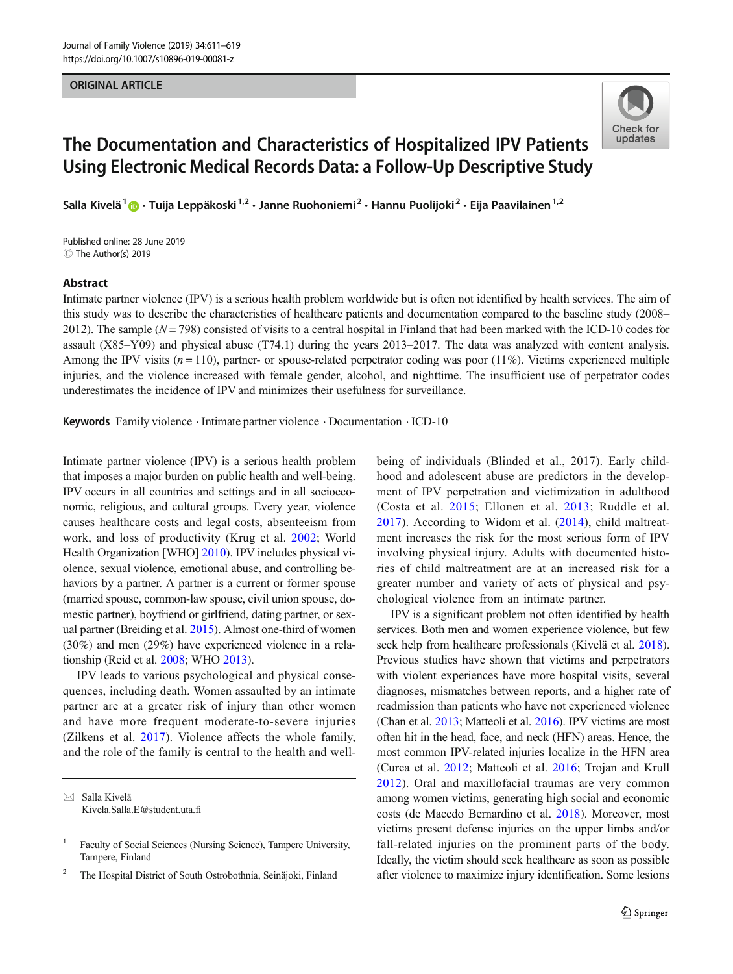#### ORIGINAL ARTICLE



# The Documentation and Characteristics of Hospitalized IPV Patients Using Electronic Medical Records Data: a Follow-Up Descriptive Study

Salla Kivelä<sup>1</sup>  $\odot$  · Tuija Leppäkoski<sup>1,2</sup> · Janne Ruohoniemi<sup>2</sup> · Hannu Puolijoki<sup>2</sup> · Eija Paavilainen<sup>1,2</sup>

Published online: 28 June 2019 C The Author(s) 2019

#### Abstract

Intimate partner violence (IPV) is a serious health problem worldwide but is often not identified by health services. The aim of this study was to describe the characteristics of healthcare patients and documentation compared to the baseline study (2008– 2012). The sample  $(N = 798)$  consisted of visits to a central hospital in Finland that had been marked with the ICD-10 codes for assault (X85–Y09) and physical abuse (T74.1) during the years 2013–2017. The data was analyzed with content analysis. Among the IPV visits  $(n = 110)$ , partner- or spouse-related perpetrator coding was poor (11%). Victims experienced multiple injuries, and the violence increased with female gender, alcohol, and nighttime. The insufficient use of perpetrator codes underestimates the incidence of IPV and minimizes their usefulness for surveillance.

Keywords Family violence . Intimate partner violence . Documentation . ICD-10

Intimate partner violence (IPV) is a serious health problem that imposes a major burden on public health and well-being. IPV occurs in all countries and settings and in all socioeconomic, religious, and cultural groups. Every year, violence causes healthcare costs and legal costs, absenteeism from work, and loss of productivity (Krug et al. [2002](#page-7-0); World Health Organization [WHO] [2010\)](#page-8-0). IPV includes physical violence, sexual violence, emotional abuse, and controlling behaviors by a partner. A partner is a current or former spouse (married spouse, common-law spouse, civil union spouse, domestic partner), boyfriend or girlfriend, dating partner, or sexual partner (Breiding et al. [2015\)](#page-6-0). Almost one-third of women (30%) and men (29%) have experienced violence in a relationship (Reid et al. [2008](#page-7-0); WHO [2013](#page-8-0)).

IPV leads to various psychological and physical consequences, including death. Women assaulted by an intimate partner are at a greater risk of injury than other women and have more frequent moderate-to-severe injuries (Zilkens et al. [2017\)](#page-8-0). Violence affects the whole family, and the role of the family is central to the health and well-

 $\boxtimes$  Salla Kivelä [Kivela.Salla.E@student.uta.fi](mailto:Kivela.Salla.E@student.uta.fi) being of individuals (Blinded et al., 2017). Early childhood and adolescent abuse are predictors in the development of IPV perpetration and victimization in adulthood (Costa et al. [2015](#page-7-0); Ellonen et al. [2013](#page-7-0); Ruddle et al. [2017](#page-7-0)). According to Widom et al. ([2014\)](#page-8-0), child maltreatment increases the risk for the most serious form of IPV involving physical injury. Adults with documented histories of child maltreatment are at an increased risk for a greater number and variety of acts of physical and psychological violence from an intimate partner.

IPV is a significant problem not often identified by health services. Both men and women experience violence, but few seek help from healthcare professionals (Kivelä et al. [2018\)](#page-7-0). Previous studies have shown that victims and perpetrators with violent experiences have more hospital visits, several diagnoses, mismatches between reports, and a higher rate of readmission than patients who have not experienced violence (Chan et al. [2013](#page-6-0); Matteoli et al. [2016](#page-7-0)). IPV victims are most often hit in the head, face, and neck (HFN) areas. Hence, the most common IPV-related injuries localize in the HFN area (Curca et al. [2012](#page-7-0); Matteoli et al. [2016;](#page-7-0) Trojan and Krull [2012\)](#page-8-0). Oral and maxillofacial traumas are very common among women victims, generating high social and economic costs (de Macedo Bernardino et al. [2018\)](#page-7-0). Moreover, most victims present defense injuries on the upper limbs and/or fall-related injuries on the prominent parts of the body. Ideally, the victim should seek healthcare as soon as possible after violence to maximize injury identification. Some lesions

<sup>&</sup>lt;sup>1</sup> Faculty of Social Sciences (Nursing Science), Tampere University, Tampere, Finland

<sup>2</sup> The Hospital District of South Ostrobothnia, Seinäjoki, Finland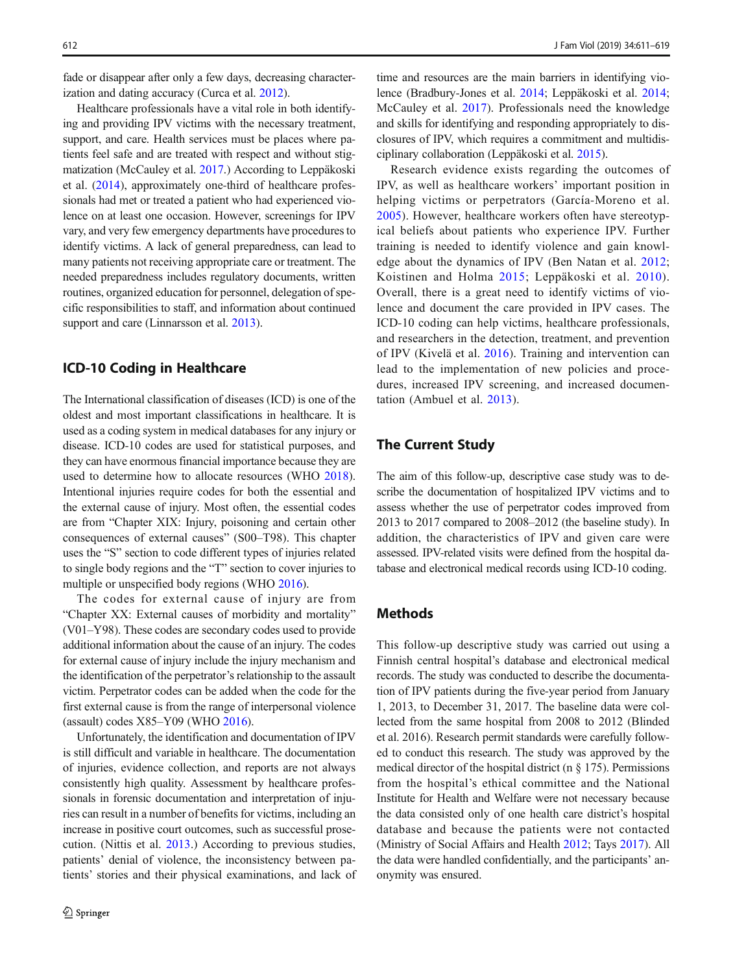fade or disappear after only a few days, decreasing characterization and dating accuracy (Curca et al. [2012](#page-7-0)).

Healthcare professionals have a vital role in both identifying and providing IPV victims with the necessary treatment, support, and care. Health services must be places where patients feel safe and are treated with respect and without stigmatization (McCauley et al. [2017.](#page-7-0)) According to Leppäkoski et al. ([2014\)](#page-7-0), approximately one-third of healthcare professionals had met or treated a patient who had experienced violence on at least one occasion. However, screenings for IPV vary, and very few emergency departments have procedures to identify victims. A lack of general preparedness, can lead to many patients not receiving appropriate care or treatment. The needed preparedness includes regulatory documents, written routines, organized education for personnel, delegation of specific responsibilities to staff, and information about continued support and care (Linnarsson et al. [2013](#page-7-0)).

## ICD-10 Coding in Healthcare

The International classification of diseases (ICD) is one of the oldest and most important classifications in healthcare. It is used as a coding system in medical databases for any injury or disease. ICD-10 codes are used for statistical purposes, and they can have enormous financial importance because they are used to determine how to allocate resources (WHO [2018](#page-8-0)). Intentional injuries require codes for both the essential and the external cause of injury. Most often, the essential codes are from "Chapter XIX: Injury, poisoning and certain other consequences of external causes" (S00–T98). This chapter uses the "S" section to code different types of injuries related to single body regions and the "T" section to cover injuries to multiple or unspecified body regions (WHO [2016\)](#page-8-0).

The codes for external cause of injury are from "Chapter XX: External causes of morbidity and mortality" (V01–Y98). These codes are secondary codes used to provide additional information about the cause of an injury. The codes for external cause of injury include the injury mechanism and the identification of the perpetrator's relationship to the assault victim. Perpetrator codes can be added when the code for the first external cause is from the range of interpersonal violence (assault) codes X85–Y09 (WHO [2016\)](#page-8-0).

Unfortunately, the identification and documentation of IPV is still difficult and variable in healthcare. The documentation of injuries, evidence collection, and reports are not always consistently high quality. Assessment by healthcare professionals in forensic documentation and interpretation of injuries can result in a number of benefits for victims, including an increase in positive court outcomes, such as successful prosecution. (Nittis et al. [2013.](#page-7-0)) According to previous studies, patients' denial of violence, the inconsistency between patients' stories and their physical examinations, and lack of

time and resources are the main barriers in identifying violence (Bradbury-Jones et al. [2014](#page-6-0); Leppäkoski et al. [2014;](#page-7-0) McCauley et al. [2017\)](#page-7-0). Professionals need the knowledge and skills for identifying and responding appropriately to disclosures of IPV, which requires a commitment and multidisciplinary collaboration (Leppäkoski et al. [2015\)](#page-7-0).

Research evidence exists regarding the outcomes of IPV, as well as healthcare workers' important position in helping victims or perpetrators (García-Moreno et al. [2005](#page-7-0)). However, healthcare workers often have stereotypical beliefs about patients who experience IPV. Further training is needed to identify violence and gain knowledge about the dynamics of IPV (Ben Natan et al. [2012;](#page-6-0) Koistinen and Holma [2015](#page-7-0); Leppäkoski et al. [2010](#page-7-0)). Overall, there is a great need to identify victims of violence and document the care provided in IPV cases. The ICD-10 coding can help victims, healthcare professionals, and researchers in the detection, treatment, and prevention of IPV (Kivelä et al. [2016\)](#page-7-0). Training and intervention can lead to the implementation of new policies and procedures, increased IPV screening, and increased documentation (Ambuel et al. [2013](#page-6-0)).

# The Current Study

The aim of this follow-up, descriptive case study was to describe the documentation of hospitalized IPV victims and to assess whether the use of perpetrator codes improved from 2013 to 2017 compared to 2008–2012 (the baseline study). In addition, the characteristics of IPV and given care were assessed. IPV-related visits were defined from the hospital database and electronical medical records using ICD-10 coding.

# Methods

This follow-up descriptive study was carried out using a Finnish central hospital's database and electronical medical records. The study was conducted to describe the documentation of IPV patients during the five-year period from January 1, 2013, to December 31, 2017. The baseline data were collected from the same hospital from 2008 to 2012 (Blinded et al. 2016). Research permit standards were carefully followed to conduct this research. The study was approved by the medical director of the hospital district (n  $\S$  175). Permissions from the hospital's ethical committee and the National Institute for Health and Welfare were not necessary because the data consisted only of one health care district's hospital database and because the patients were not contacted (Ministry of Social Affairs and Health [2012;](#page-7-0) Tays [2017\)](#page-7-0). All the data were handled confidentially, and the participants' anonymity was ensured.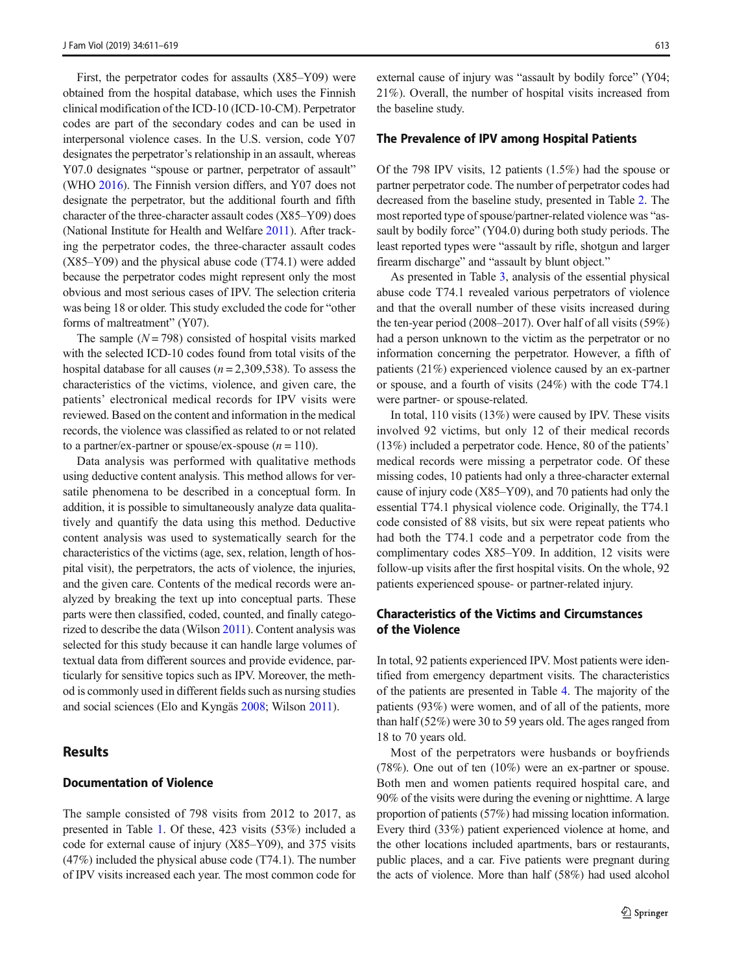First, the perpetrator codes for assaults (X85–Y09) were obtained from the hospital database, which uses the Finnish clinical modification of the ICD-10 (ICD-10-CM). Perpetrator codes are part of the secondary codes and can be used in interpersonal violence cases. In the U.S. version, code Y07 designates the perpetrator's relationship in an assault, whereas Y07.0 designates "spouse or partner, perpetrator of assault" (WHO [2016\)](#page-8-0). The Finnish version differs, and Y07 does not designate the perpetrator, but the additional fourth and fifth character of the three-character assault codes (X85–Y09) does (National Institute for Health and Welfare [2011\)](#page-7-0). After tracking the perpetrator codes, the three-character assault codes (X85–Y09) and the physical abuse code (T74.1) were added because the perpetrator codes might represent only the most obvious and most serious cases of IPV. The selection criteria was being 18 or older. This study excluded the code for "other forms of maltreatment" (Y07).

The sample  $(N = 798)$  consisted of hospital visits marked with the selected ICD-10 codes found from total visits of the hospital database for all causes ( $n = 2,309,538$ ). To assess the characteristics of the victims, violence, and given care, the patients' electronical medical records for IPV visits were reviewed. Based on the content and information in the medical records, the violence was classified as related to or not related to a partner/ex-partner or spouse/ex-spouse  $(n = 110)$ .

Data analysis was performed with qualitative methods using deductive content analysis. This method allows for versatile phenomena to be described in a conceptual form. In addition, it is possible to simultaneously analyze data qualitatively and quantify the data using this method. Deductive content analysis was used to systematically search for the characteristics of the victims (age, sex, relation, length of hospital visit), the perpetrators, the acts of violence, the injuries, and the given care. Contents of the medical records were analyzed by breaking the text up into conceptual parts. These parts were then classified, coded, counted, and finally categorized to describe the data (Wilson [2011](#page-8-0)). Content analysis was selected for this study because it can handle large volumes of textual data from different sources and provide evidence, particularly for sensitive topics such as IPV. Moreover, the method is commonly used in different fields such as nursing studies and social sciences (Elo and Kyngäs [2008;](#page-7-0) Wilson [2011](#page-8-0)).

# **Results**

# Documentation of Violence

The sample consisted of 798 visits from 2012 to 2017, as presented in Table [1](#page-3-0). Of these, 423 visits (53%) included a code for external cause of injury (X85–Y09), and 375 visits (47%) included the physical abuse code (T74.1). The number of IPV visits increased each year. The most common code for external cause of injury was "assault by bodily force" (Y04; 21%). Overall, the number of hospital visits increased from the baseline study.

#### The Prevalence of IPV among Hospital Patients

Of the 798 IPV visits, 12 patients (1.5%) had the spouse or partner perpetrator code. The number of perpetrator codes had decreased from the baseline study, presented in Table [2.](#page-3-0) The most reported type of spouse/partner-related violence was "assault by bodily force" (Y04.0) during both study periods. The least reported types were "assault by rifle, shotgun and larger firearm discharge" and "assault by blunt object."

As presented in Table [3,](#page-4-0) analysis of the essential physical abuse code T74.1 revealed various perpetrators of violence and that the overall number of these visits increased during the ten-year period (2008–2017). Over half of all visits (59%) had a person unknown to the victim as the perpetrator or no information concerning the perpetrator. However, a fifth of patients (21%) experienced violence caused by an ex-partner or spouse, and a fourth of visits (24%) with the code T74.1 were partner- or spouse-related.

In total, 110 visits (13%) were caused by IPV. These visits involved 92 victims, but only 12 of their medical records (13%) included a perpetrator code. Hence, 80 of the patients' medical records were missing a perpetrator code. Of these missing codes, 10 patients had only a three-character external cause of injury code (X85–Y09), and 70 patients had only the essential T74.1 physical violence code. Originally, the T74.1 code consisted of 88 visits, but six were repeat patients who had both the T74.1 code and a perpetrator code from the complimentary codes X85–Y09. In addition, 12 visits were follow-up visits after the first hospital visits. On the whole, 92 patients experienced spouse- or partner-related injury.

## Characteristics of the Victims and Circumstances of the Violence

In total, 92 patients experienced IPV. Most patients were identified from emergency department visits. The characteristics of the patients are presented in Table [4](#page-4-0). The majority of the patients (93%) were women, and of all of the patients, more than half (52%) were 30 to 59 years old. The ages ranged from 18 to 70 years old.

Most of the perpetrators were husbands or boyfriends (78%). One out of ten (10%) were an ex-partner or spouse. Both men and women patients required hospital care, and 90% of the visits were during the evening or nighttime. A large proportion of patients (57%) had missing location information. Every third (33%) patient experienced violence at home, and the other locations included apartments, bars or restaurants, public places, and a car. Five patients were pregnant during the acts of violence. More than half (58%) had used alcohol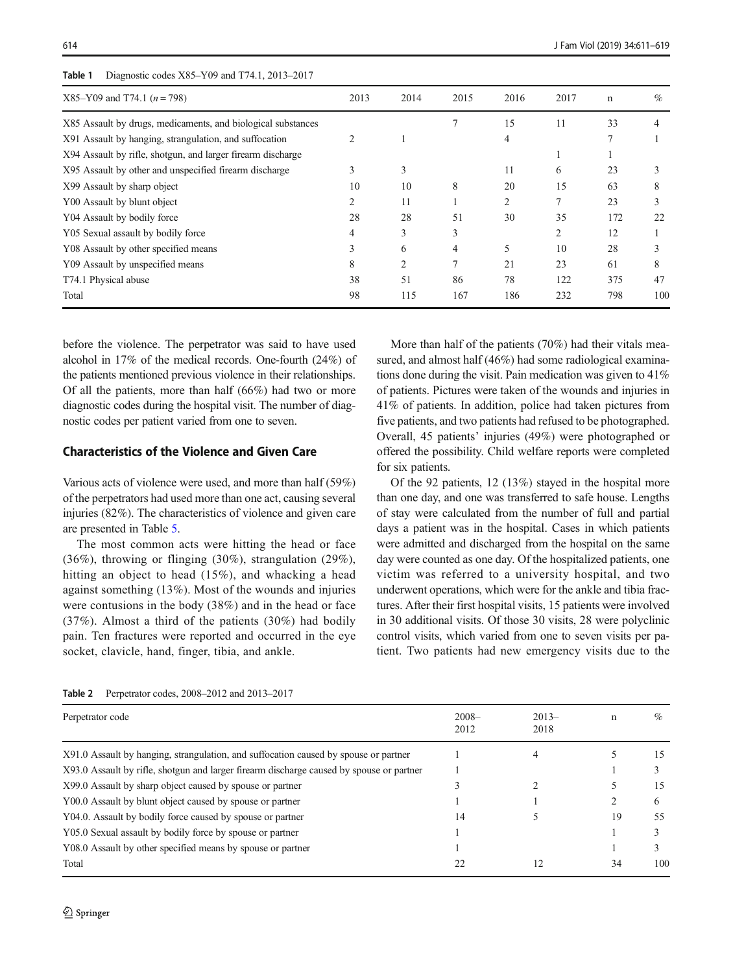| 2013 | 2014 | 2015           | 2016           | 2017 | $\mathbf n$ | $\%$ |
|------|------|----------------|----------------|------|-------------|------|
|      |      |                | 15             | 11   | 33          |      |
|      |      |                | 4              |      |             |      |
|      |      |                |                |      |             |      |
| 3    | 3    |                | 11             | 6    | 23          | 3    |
| 10   | 10   | 8              | 20             | 15   | 63          | 8    |
| 2    | 11   |                | $\overline{2}$ |      | 23          |      |
| 28   | 28   | 51             | 30             | 35   | 172         | 22   |
| 4    | 3    | 3              |                | 2    | 12          |      |
| 3    | 6    | 4              | 5              | 10   | 28          | 3    |
| 8    | 2    | $\overline{7}$ | 21             | 23   | 61          | 8    |
| 38   | 51   | 86             | 78             | 122  | 375         | 47   |
| 98   | 115  | 167            | 186            | 232  | 798         | 100  |
|      |      |                |                |      |             |      |

## <span id="page-3-0"></span>Table 1 Diagnostic codes X85–Y09 and T74.1, 2013–2017

before the violence. The perpetrator was said to have used alcohol in 17% of the medical records. One-fourth (24%) of the patients mentioned previous violence in their relationships. Of all the patients, more than half (66%) had two or more diagnostic codes during the hospital visit. The number of diagnostic codes per patient varied from one to seven.

## Characteristics of the Violence and Given Care

Various acts of violence were used, and more than half (59%) of the perpetrators had used more than one act, causing several injuries (82%). The characteristics of violence and given care are presented in Table [5](#page-5-0).

The most common acts were hitting the head or face (36%), throwing or flinging (30%), strangulation (29%), hitting an object to head (15%), and whacking a head against something (13%). Most of the wounds and injuries were contusions in the body (38%) and in the head or face (37%). Almost a third of the patients (30%) had bodily pain. Ten fractures were reported and occurred in the eye socket, clavicle, hand, finger, tibia, and ankle.

More than half of the patients (70%) had their vitals measured, and almost half (46%) had some radiological examinations done during the visit. Pain medication was given to 41% of patients. Pictures were taken of the wounds and injuries in 41% of patients. In addition, police had taken pictures from five patients, and two patients had refused to be photographed. Overall, 45 patients' injuries (49%) were photographed or offered the possibility. Child welfare reports were completed for six patients.

Of the 92 patients, 12 (13%) stayed in the hospital more than one day, and one was transferred to safe house. Lengths of stay were calculated from the number of full and partial days a patient was in the hospital. Cases in which patients were admitted and discharged from the hospital on the same day were counted as one day. Of the hospitalized patients, one victim was referred to a university hospital, and two underwent operations, which were for the ankle and tibia fractures. After their first hospital visits, 15 patients were involved in 30 additional visits. Of those 30 visits, 28 were polyclinic control visits, which varied from one to seven visits per patient. Two patients had new emergency visits due to the

| Perpetrator code                                                                         | $2008 -$<br>2012 | $2013-$<br>2018 | n  | $\%$ |
|------------------------------------------------------------------------------------------|------------------|-----------------|----|------|
| X91.0 Assault by hanging, strangulation, and suffocation caused by spouse or partner     |                  |                 |    | 15   |
| X93.0 Assault by rifle, shotgun and larger firearm discharge caused by spouse or partner |                  |                 |    |      |
| X99.0 Assault by sharp object caused by spouse or partner                                |                  |                 |    | 15   |
| Y00.0 Assault by blunt object caused by spouse or partner                                |                  |                 |    | 6    |
| Y04.0. Assault by bodily force caused by spouse or partner                               | 14               |                 | 19 | 55   |
| Y05.0 Sexual assault by bodily force by spouse or partner                                |                  |                 |    |      |
| Y08.0 Assault by other specified means by spouse or partner                              |                  |                 |    |      |
| Total                                                                                    | 22               |                 | 34 | 100  |

Table 2 Perpetrator codes, 2008–2012 and 2013–2017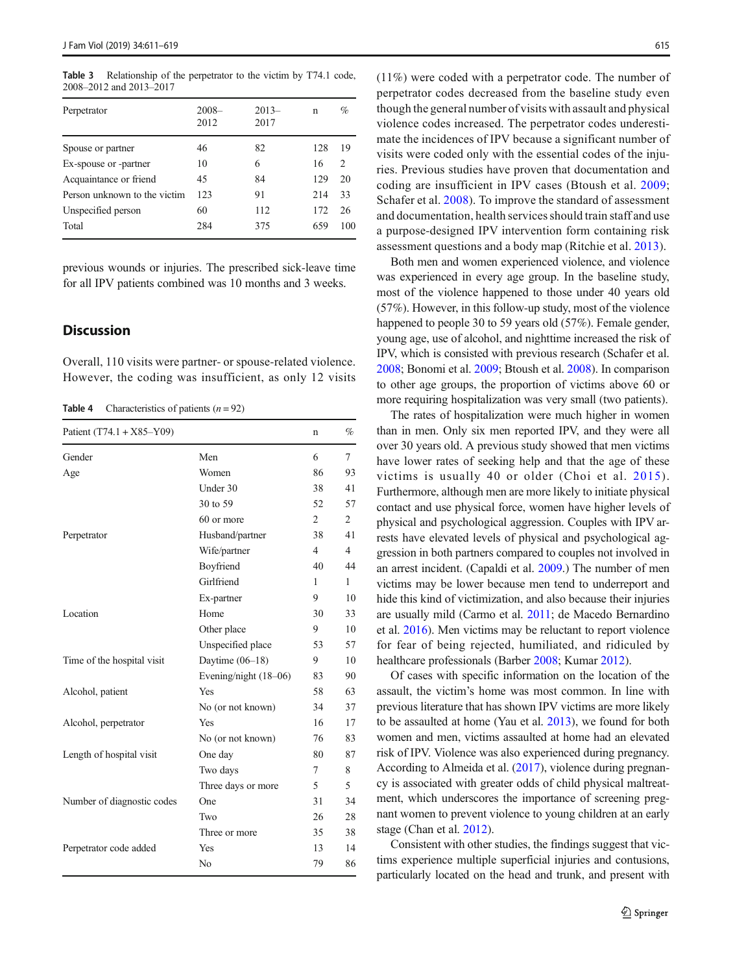<span id="page-4-0"></span>Table 3 Relationship of the perpetrator to the victim by T74.1 code, 2008–2012 and 2013–2017

| Perpetrator                  | $2008 -$<br>2012 | $2013-$<br>2017 | n   | %                             |
|------------------------------|------------------|-----------------|-----|-------------------------------|
| Spouse or partner            | 46               | 82              | 128 | 19                            |
| Ex-spouse or -partner        | 10               | 6               | 16  | $\mathfrak{D}_{\mathfrak{p}}$ |
| Acquaintance or friend       | 45               | 84              | 129 | 20                            |
| Person unknown to the victim | 123              | 91              | 214 | 33                            |
| Unspecified person           | 60               | 112             | 172 | 26                            |
| Total                        | 284              | 375             | 659 | 100                           |

previous wounds or injuries. The prescribed sick-leave time for all IPV patients combined was 10 months and 3 weeks.

# **Discussion**

Overall, 110 visits were partner- or spouse-related violence. However, the coding was insufficient, as only 12 visits

**Table 4** Characteristics of patients  $(n = 92)$ 

| Patient $(T74.1 + X85-Y09)$ |                       | n              | %              |
|-----------------------------|-----------------------|----------------|----------------|
| Gender                      | Men                   | 6              | 7              |
| Age                         | Women                 | 86             | 93             |
|                             | Under 30              | 38             | 41             |
|                             | 30 to 59              | 52             | 57             |
|                             | 60 or more            | 2              | 2              |
| Perpetrator                 | Husband/partner       | 38             | 41             |
|                             | Wife/partner          | $\overline{4}$ | $\overline{4}$ |
|                             | Boyfriend             | 40             | 44             |
|                             | Girlfriend            | 1              | 1              |
|                             | Ex-partner            | 9              | 10             |
| Location                    | Home                  | 30             | 33             |
|                             | Other place           | 9              | 10             |
|                             | Unspecified place     | 53             | 57             |
| Time of the hospital visit  | Daytime $(06-18)$     | 9              | 10             |
|                             | Evening/night (18-06) | 83             | 90             |
| Alcohol, patient            | Yes                   | 58             | 63             |
|                             | No (or not known)     | 34             | 37             |
| Alcohol, perpetrator        | Yes                   | 16             | 17             |
|                             | No (or not known)     | 76             | 83             |
| Length of hospital visit    | One day               | 80             | 87             |
|                             | Two days              | 7              | 8              |
|                             | Three days or more    | 5              | 5              |
| Number of diagnostic codes  | One                   | 31             | 34             |
|                             | Two                   | 26             | 28             |
|                             | Three or more         | 35             | 38             |
| Perpetrator code added      | Yes                   | 13             | 14             |
|                             | N <sub>0</sub>        | 79             | 86             |

(11%) were coded with a perpetrator code. The number of perpetrator codes decreased from the baseline study even though the general number of visits with assault and physical violence codes increased. The perpetrator codes underestimate the incidences of IPV because a significant number of visits were coded only with the essential codes of the injuries. Previous studies have proven that documentation and coding are insufficient in IPV cases (Btoush et al. [2009;](#page-6-0) Schafer et al. [2008](#page-7-0)). To improve the standard of assessment and documentation, health services should train staff and use a purpose-designed IPV intervention form containing risk assessment questions and a body map (Ritchie et al. [2013\)](#page-7-0).

Both men and women experienced violence, and violence was experienced in every age group. In the baseline study, most of the violence happened to those under 40 years old (57%). However, in this follow-up study, most of the violence happened to people 30 to 59 years old (57%). Female gender, young age, use of alcohol, and nighttime increased the risk of IPV, which is consisted with previous research (Schafer et al. [2008;](#page-7-0) Bonomi et al. [2009](#page-6-0); Btoush et al. [2008\)](#page-6-0). In comparison to other age groups, the proportion of victims above 60 or more requiring hospitalization was very small (two patients).

The rates of hospitalization were much higher in women than in men. Only six men reported IPV, and they were all over 30 years old. A previous study showed that men victims have lower rates of seeking help and that the age of these victims is usually 40 or older (Choi et al. [2015\)](#page-6-0). Furthermore, although men are more likely to initiate physical contact and use physical force, women have higher levels of physical and psychological aggression. Couples with IPV arrests have elevated levels of physical and psychological aggression in both partners compared to couples not involved in an arrest incident. (Capaldi et al. [2009.](#page-6-0)) The number of men victims may be lower because men tend to underreport and hide this kind of victimization, and also because their injuries are usually mild (Carmo et al. [2011;](#page-6-0) de Macedo Bernardino et al. [2016](#page-7-0)). Men victims may be reluctant to report violence for fear of being rejected, humiliated, and ridiculed by healthcare professionals (Barber [2008](#page-6-0); Kumar [2012\)](#page-7-0).

Of cases with specific information on the location of the assault, the victim's home was most common. In line with previous literature that has shown IPV victims are more likely to be assaulted at home (Yau et al. [2013](#page-8-0)), we found for both women and men, victims assaulted at home had an elevated risk of IPV. Violence was also experienced during pregnancy. According to Almeida et al. [\(2017\)](#page-6-0), violence during pregnancy is associated with greater odds of child physical maltreatment, which underscores the importance of screening pregnant women to prevent violence to young children at an early stage (Chan et al. [2012](#page-6-0)).

Consistent with other studies, the findings suggest that victims experience multiple superficial injuries and contusions, particularly located on the head and trunk, and present with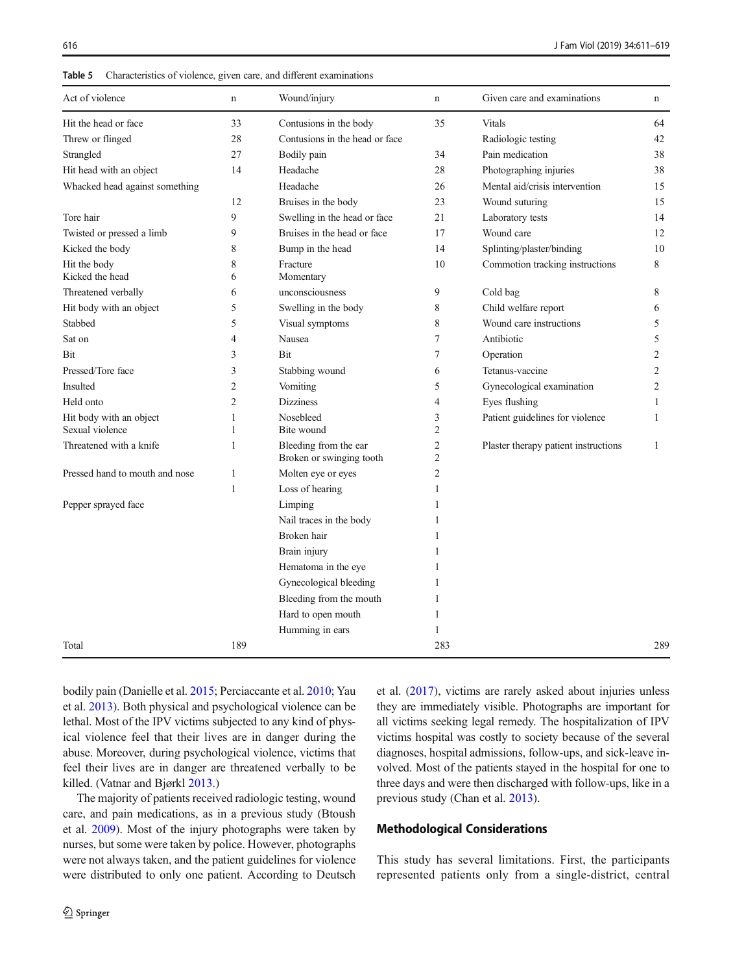<span id="page-5-0"></span>616 J Fam Viol (2019) 34:611–619

| Table 5 | Characteristics of violence, given care, and different examinations |  |  |  |  |
|---------|---------------------------------------------------------------------|--|--|--|--|
|---------|---------------------------------------------------------------------|--|--|--|--|

| Act of violence                 | $\mathbf n$    | Wound/injury                                      | $\mathbf n$                      | Given care and examinations          | $\mathbf n$    |
|---------------------------------|----------------|---------------------------------------------------|----------------------------------|--------------------------------------|----------------|
| Hit the head or face            | 33             | Contusions in the body                            | 35                               | Vitals                               | 64             |
| Threw or flinged                | 28             | Contusions in the head or face                    |                                  | Radiologic testing                   | 42             |
| Strangled                       | 27             | Bodily pain                                       | 34                               | Pain medication                      | 38             |
| Hit head with an object         | 14             | Headache                                          | 28                               | Photographing injuries               | 38             |
| Whacked head against something  |                | Headache                                          | 26                               | Mental aid/crisis intervention       | 15             |
|                                 | 12             | Bruises in the body                               | 23                               | Wound suturing                       | 15             |
| Tore hair                       | 9              | Swelling in the head or face                      | 21                               | Laboratory tests                     | 14             |
| Twisted or pressed a limb       | 9              | Bruises in the head or face                       | 17                               | Wound care                           | 12             |
| Kicked the body                 | 8              | Bump in the head                                  | 14                               | Splinting/plaster/binding            | 10             |
| Hit the body<br>Kicked the head | 8<br>6         | Fracture<br>Momentary                             | 10                               | Commotion tracking instructions      | 8              |
| Threatened verbally             | 6              | unconsciousness                                   | 9                                | Cold bag                             | 8              |
| Hit body with an object         | 5              | Swelling in the body                              | 8                                | Child welfare report                 | 6              |
| Stabbed                         | 5              | Visual symptoms                                   | 8                                | Wound care instructions              | 5              |
| Sat on                          | 4              | Nausea                                            | 7                                | Antibiotic                           | 5              |
| Bit                             | 3              | Bit                                               | 7                                | Operation                            | $\overline{c}$ |
| Pressed/Tore face               | 3              | Stabbing wound                                    | 6                                | Tetanus-vaccine                      | $\overline{c}$ |
| Insulted                        | $\overline{2}$ | Vomiting                                          | 5                                | Gynecological examination            | 2              |
| Held onto                       | $\overline{2}$ | <b>Dizziness</b>                                  | $\overline{4}$                   | Eyes flushing                        | $\mathbf{1}$   |
| Hit body with an object         | 1              | Nosebleed                                         | 3                                | Patient guidelines for violence      | $\mathbf{1}$   |
| Sexual violence                 | 1              | Bite wound                                        | $\overline{2}$                   |                                      |                |
| Threatened with a knife         | 1              | Bleeding from the ear<br>Broken or swinging tooth | $\overline{c}$<br>$\overline{2}$ | Plaster therapy patient instructions | $\mathbf{1}$   |
| Pressed hand to mouth and nose  | $\mathbf{1}$   | Molten eye or eyes                                | $\overline{2}$                   |                                      |                |
|                                 | $\mathbf{1}$   | Loss of hearing                                   | 1                                |                                      |                |
| Pepper sprayed face             |                | Limping                                           |                                  |                                      |                |
|                                 |                | Nail traces in the body                           |                                  |                                      |                |
|                                 |                | Broken hair                                       |                                  |                                      |                |
|                                 |                | Brain injury                                      |                                  |                                      |                |
|                                 |                | Hematoma in the eye                               |                                  |                                      |                |
|                                 |                | Gynecological bleeding                            | 1                                |                                      |                |
|                                 |                | Bleeding from the mouth                           | 1                                |                                      |                |
|                                 |                | Hard to open mouth                                | $\mathbf{1}$                     |                                      |                |
|                                 |                | Humming in ears                                   | $\mathbf{1}$                     |                                      |                |
| Total                           | 189            |                                                   | 283                              |                                      | 289            |

bodily pain (Danielle et al. [2015](#page-7-0); Perciaccante et al. [2010](#page-7-0); Yau et al. [2013\)](#page-8-0). Both physical and psychological violence can be lethal. Most of the IPV victims subjected to any kind of physical violence feel that their lives are in danger during the abuse. Moreover, during psychological violence, victims that feel their lives are in danger are threatened verbally to be killed. (Vatnar and Bjørkl [2013.](#page-8-0))

The majority of patients received radiologic testing, wound care, and pain medications, as in a previous study (Btoush et al. [2009](#page-6-0)). Most of the injury photographs were taken by nurses, but some were taken by police. However, photographs were not always taken, and the patient guidelines for violence were distributed to only one patient. According to Deutsch et al. [\(2017\)](#page-7-0), victims are rarely asked about injuries unless they are immediately visible. Photographs are important for all victims seeking legal remedy. The hospitalization of IPV victims hospital was costly to society because of the several diagnoses, hospital admissions, follow-ups, and sick-leave involved. Most of the patients stayed in the hospital for one to three days and were then discharged with follow-ups, like in a previous study (Chan et al. [2013](#page-6-0)).

## Methodological Considerations

This study has several limitations. First, the participants represented patients only from a single-district, central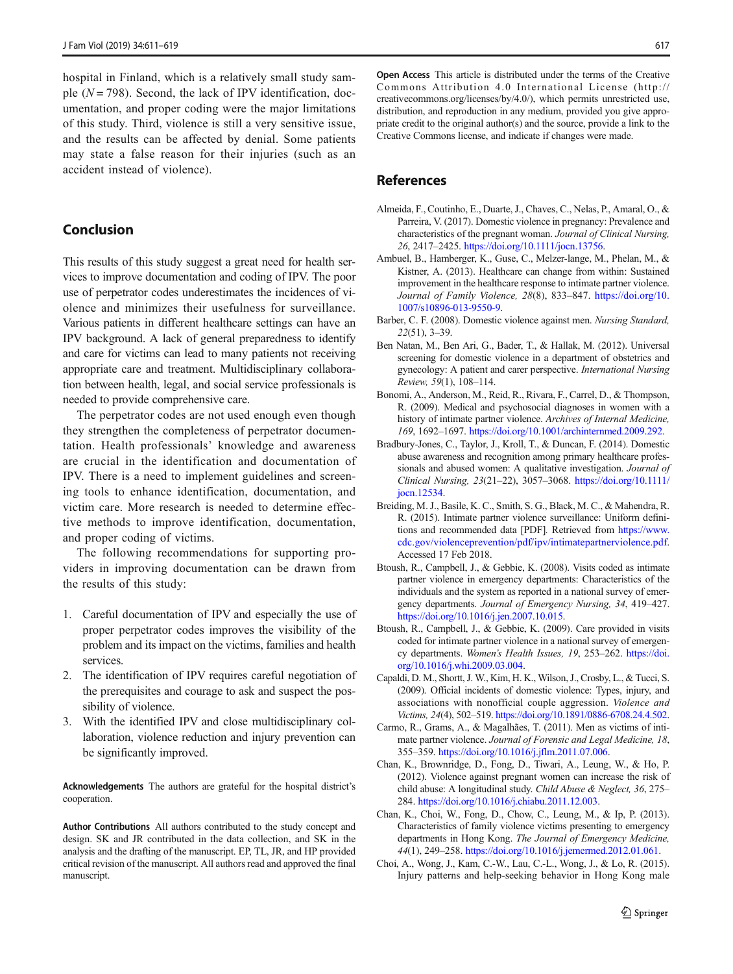<span id="page-6-0"></span>hospital in Finland, which is a relatively small study sample  $(N = 798)$ . Second, the lack of IPV identification, documentation, and proper coding were the major limitations of this study. Third, violence is still a very sensitive issue, and the results can be affected by denial. Some patients may state a false reason for their injuries (such as an accident instead of violence).

## Conclusion

This results of this study suggest a great need for health services to improve documentation and coding of IPV. The poor use of perpetrator codes underestimates the incidences of violence and minimizes their usefulness for surveillance. Various patients in different healthcare settings can have an IPV background. A lack of general preparedness to identify and care for victims can lead to many patients not receiving appropriate care and treatment. Multidisciplinary collaboration between health, legal, and social service professionals is needed to provide comprehensive care.

The perpetrator codes are not used enough even though they strengthen the completeness of perpetrator documentation. Health professionals' knowledge and awareness are crucial in the identification and documentation of IPV. There is a need to implement guidelines and screening tools to enhance identification, documentation, and victim care. More research is needed to determine effective methods to improve identification, documentation, and proper coding of victims.

The following recommendations for supporting providers in improving documentation can be drawn from the results of this study:

- 1. Careful documentation of IPV and especially the use of proper perpetrator codes improves the visibility of the problem and its impact on the victims, families and health services.
- 2. The identification of IPV requires careful negotiation of the prerequisites and courage to ask and suspect the possibility of violence.
- 3. With the identified IPV and close multidisciplinary collaboration, violence reduction and injury prevention can be significantly improved.

Acknowledgements The authors are grateful for the hospital district's cooperation.

Author Contributions All authors contributed to the study concept and design. SK and JR contributed in the data collection, and SK in the analysis and the drafting of the manuscript. EP, TL, JR, and HP provided critical revision of the manuscript. All authors read and approved the final manuscript.

Open Access This article is distributed under the terms of the Creative Commons Attribution 4.0 International License (http:// creativecommons.org/licenses/by/4.0/), which permits unrestricted use, distribution, and reproduction in any medium, provided you give appropriate credit to the original author(s) and the source, provide a link to the Creative Commons license, and indicate if changes were made.

## References

- Almeida, F., Coutinho, E., Duarte, J., Chaves, C., Nelas, P., Amaral, O., & Parreira, V. (2017). Domestic violence in pregnancy: Prevalence and characteristics of the pregnant woman. Journal of Clinical Nursing, 26, 2417–2425. <https://doi.org/10.1111/jocn.13756>.
- Ambuel, B., Hamberger, K., Guse, C., Melzer-lange, M., Phelan, M., & Kistner, A. (2013). Healthcare can change from within: Sustained improvement in the healthcare response to intimate partner violence. Journal of Family Violence, 28(8), 833–847. [https://doi.org/10.](https://doi.org/10.1007/s10896-013-9550-9) [1007/s10896-013-9550-9.](https://doi.org/10.1007/s10896-013-9550-9)
- Barber, C. F. (2008). Domestic violence against men. Nursing Standard, 22(51), 3–39.
- Ben Natan, M., Ben Ari, G., Bader, T., & Hallak, M. (2012). Universal screening for domestic violence in a department of obstetrics and gynecology: A patient and carer perspective. International Nursing Review, 59(1), 108–114.
- Bonomi, A., Anderson, M., Reid, R., Rivara, F., Carrel, D., & Thompson, R. (2009). Medical and psychosocial diagnoses in women with a history of intimate partner violence. Archives of Internal Medicine, 169, 1692–1697. <https://doi.org/10.1001/archinternmed.2009.292>.
- Bradbury-Jones, C., Taylor, J., Kroll, T., & Duncan, F. (2014). Domestic abuse awareness and recognition among primary healthcare professionals and abused women: A qualitative investigation. Journal of Clinical Nursing, 23(21–22), 3057–3068. [https://doi.org/10.1111/](https://doi.org/10.1111/jocn.12534) [jocn.12534.](https://doi.org/10.1111/jocn.12534)
- Breiding, M. J., Basile, K. C., Smith, S. G., Black, M. C., & Mahendra, R. R. (2015). Intimate partner violence surveillance: Uniform definitions and recommended data [PDF]. Retrieved from [https://www.](https://www.cdc.gov/violenceprevention/pdf/ipv/intimatepartnerviolence.pdf) [cdc.gov/violenceprevention/pdf/ipv/intimatepartnerviolence.pdf](https://www.cdc.gov/violenceprevention/pdf/ipv/intimatepartnerviolence.pdf). Accessed 17 Feb 2018.
- Btoush, R., Campbell, J., & Gebbie, K. (2008). Visits coded as intimate partner violence in emergency departments: Characteristics of the individuals and the system as reported in a national survey of emergency departments. Journal of Emergency Nursing, 34, 419–427. <https://doi.org/10.1016/j.jen.2007.10.015>.
- Btoush, R., Campbell, J., & Gebbie, K. (2009). Care provided in visits coded for intimate partner violence in a national survey of emergency departments. Women's Health Issues, 19, 253-262. [https://doi.](https://doi.org/10.1016/j.whi.2009.03.004) [org/10.1016/j.whi.2009.03.004.](https://doi.org/10.1016/j.whi.2009.03.004)
- Capaldi, D. M., Shortt, J. W., Kim, H. K., Wilson, J., Crosby, L., & Tucci, S. (2009). Official incidents of domestic violence: Types, injury, and associations with nonofficial couple aggression. Violence and Victims, 24(4), 502–519. <https://doi.org/10.1891/0886-6708.24.4.502>.
- Carmo, R., Grams, A., & Magalhães, T. (2011). Men as victims of intimate partner violence. Journal of Forensic and Legal Medicine, 18, 355–359. [https://doi.org/10.1016/j.jflm.2011.07.006.](https://doi.org/10.1016/j.jflm.2011.07.006)
- Chan, K., Brownridge, D., Fong, D., Tiwari, A., Leung, W., & Ho, P. (2012). Violence against pregnant women can increase the risk of child abuse: A longitudinal study. Child Abuse & Neglect, 36, 275– 284. [https://doi.org/10.1016/j.chiabu.2011.12.003.](https://doi.org/10.1016/j.chiabu.2011.12.003)
- Chan, K., Choi, W., Fong, D., Chow, C., Leung, M., & Ip, P. (2013). Characteristics of family violence victims presenting to emergency departments in Hong Kong. The Journal of Emergency Medicine, 44(1), 249–258. <https://doi.org/10.1016/j.jemermed.2012.01.061>.
- Choi, A., Wong, J., Kam, C.-W., Lau, C.-L., Wong, J., & Lo, R. (2015). Injury patterns and help-seeking behavior in Hong Kong male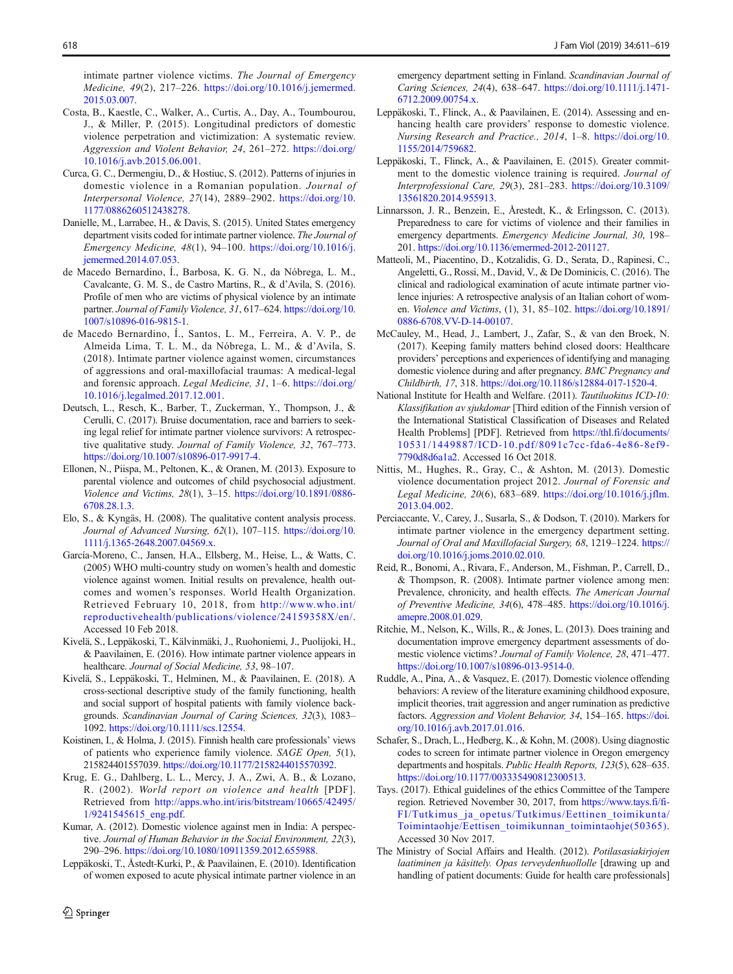<span id="page-7-0"></span>intimate partner violence victims. The Journal of Emergency Medicine, 49(2), 217–226. [https://doi.org/10.1016/j.jemermed.](https://doi.org/10.1016/j.jemermed.2015.03.007) [2015.03.007](https://doi.org/10.1016/j.jemermed.2015.03.007).

- Costa, B., Kaestle, C., Walker, A., Curtis, A., Day, A., Toumbourou, J., & Miller, P. (2015). Longitudinal predictors of domestic violence perpetration and victimization: A systematic review. Aggression and Violent Behavior, 24, 261–272. [https://doi.org/](https://doi.org/10.1016/j.avb.2015.06.001) [10.1016/j.avb.2015.06.001](https://doi.org/10.1016/j.avb.2015.06.001).
- Curca, G. C., Dermengiu, D., & Hostiuc, S. (2012). Patterns of injuries in domestic violence in a Romanian population. Journal of Interpersonal Violence, 27(14), 2889–2902. [https://doi.org/10.](https://doi.org/10.1177/0886260512438278) [1177/0886260512438278.](https://doi.org/10.1177/0886260512438278)
- Danielle, M., Larrabee, H., & Davis, S. (2015). United States emergency department visits coded for intimate partner violence. The Journal of Emergency Medicine, 48(1), 94–100. [https://doi.org/10.1016/j.](https://doi.org/10.1016/j.jemermed.2014.07.053) [jemermed.2014.07.053.](https://doi.org/10.1016/j.jemermed.2014.07.053)
- de Macedo Bernardino, Í., Barbosa, K. G. N., da Nóbrega, L. M., Cavalcante, G. M. S., de Castro Martins, R., & d'Avila, S. (2016). Profile of men who are victims of physical violence by an intimate partner. Journal of Family Violence, 31, 617-624. [https://doi.org/10.](https://doi.org/10.1007/s10896-016-9815-1) [1007/s10896-016-9815-1.](https://doi.org/10.1007/s10896-016-9815-1)
- de Macedo Bernardino, Í., Santos, L. M., Ferreira, A. V. P., de Almeida Lima, T. L. M., da Nóbrega, L. M., & d'Avila, S. (2018). Intimate partner violence against women, circumstances of aggressions and oral-maxillofacial traumas: A medical-legal and forensic approach. Legal Medicine, 31, 1–6. [https://doi.org/](https://doi.org/10.1016/j.legalmed.2017.12.001) [10.1016/j.legalmed.2017.12.001](https://doi.org/10.1016/j.legalmed.2017.12.001).
- Deutsch, L., Resch, K., Barber, T., Zuckerman, Y., Thompson, J., & Cerulli, C. (2017). Bruise documentation, race and barriers to seeking legal relief for intimate partner violence survivors: A retrospective qualitative study. Journal of Family Violence, 32, 767–773. [https://doi.org/10.1007/s10896-017-9917-4.](https://doi.org/10.1007/s10896-017-9917-4)
- Ellonen, N., Piispa, M., Peltonen, K., & Oranen, M. (2013). Exposure to parental violence and outcomes of child psychosocial adjustment. Violence and Victims, 28(1), 3–15. [https://doi.org/10.1891/0886-](https://doi.org/10.1891/0886-6708.28.1.3) [6708.28.1.3](https://doi.org/10.1891/0886-6708.28.1.3).
- Elo, S., & Kyngäs, H. (2008). The qualitative content analysis process. Journal of Advanced Nursing, 62(1), 107–115. [https://doi.org/10.](https://doi.org/10.1111/j.1365-2648.2007.04569.x) [1111/j.1365-2648.2007.04569.x](https://doi.org/10.1111/j.1365-2648.2007.04569.x).
- García-Moreno, C., Jansen, H.A., Ellsberg, M., Heise, L., & Watts, C. (2005) WHO multi-country study on women's health and domestic violence against women. Initial results on prevalence, health outcomes and women's responses. World Health Organization. Retrieved February 10, 2018, from [http://www.who.int/](http://www.who.int/reproductivehealth/publications/violence/24159358X/en/) [reproductivehealth/publications/violence/24159358X/en/.](http://www.who.int/reproductivehealth/publications/violence/24159358X/en/) Accessed 10 Feb 2018.
- Kivelä, S., Leppäkoski, T., Kälvinmäki, J., Ruohoniemi, J., Puolijoki, H., & Paavilainen, E. (2016). How intimate partner violence appears in healthcare. Journal of Social Medicine, 53, 98–107.
- Kivelä, S., Leppäkoski, T., Helminen, M., & Paavilainen, E. (2018). A cross-sectional descriptive study of the family functioning, health and social support of hospital patients with family violence backgrounds. Scandinavian Journal of Caring Sciences, 32(3), 1083– 1092. [https://doi.org/10.1111/scs.12554.](https://doi.org/10.1111/scs.12554)
- Koistinen, I., & Holma, J. (2015). Finnish health care professionals' views of patients who experience family violence. SAGE Open, 5(1), 215824401557039. [https://doi.org/10.1177/2158244015570392.](https://doi.org/10.1177/2158244015570392)
- Krug, E. G., Dahlberg, L. L., Mercy, J. A., Zwi, A. B., & Lozano, R. (2002). World report on violence and health [PDF]. Retrieved from [http://apps.who.int/iris/bitstream/10665/42495/](http://apps.who.int/iris/bitstream/10665/42495/1/9241545615_eng.pdf) [1/9241545615\\_eng.pdf.](http://apps.who.int/iris/bitstream/10665/42495/1/9241545615_eng.pdf)
- Kumar, A. (2012). Domestic violence against men in India: A perspective. Journal of Human Behavior in the Social Environment, 22(3), 290–296. <https://doi.org/10.1080/10911359.2012.655988>.
- Leppäkoski, T., Åstedt-Kurki, P., & Paavilainen, E. (2010). Identification of women exposed to acute physical intimate partner violence in an

 $\hat{Z}$  Springer

emergency department setting in Finland. Scandinavian Journal of Caring Sciences, 24(4), 638–647. [https://doi.org/10.1111/j.1471-](https://doi.org/10.1111/j.1471-6712.2009.00754.x) [6712.2009.00754.x](https://doi.org/10.1111/j.1471-6712.2009.00754.x).

- Leppäkoski, T., Flinck, A., & Paavilainen, E. (2014). Assessing and enhancing health care providers' response to domestic violence. Nursing Research and Practice., 2014, 1–8. [https://doi.org/10.](https://doi.org/10.1155/2014/759682) [1155/2014/759682](https://doi.org/10.1155/2014/759682).
- Leppäkoski, T., Flinck, A., & Paavilainen, E. (2015). Greater commitment to the domestic violence training is required. Journal of Interprofessional Care, 29(3), 281–283. [https://doi.org/10.3109/](https://doi.org/10.3109/13561820.2014.955913) [13561820.2014.955913.](https://doi.org/10.3109/13561820.2014.955913)
- Linnarsson, J. R., Benzein, E., Årestedt, K., & Erlingsson, C. (2013). Preparedness to care for victims of violence and their families in emergency departments. Emergency Medicine Journal, 30, 198– 201. <https://doi.org/10.1136/emermed-2012-201127>.
- Matteoli, M., Piacentino, D., Kotzalidis, G. D., Serata, D., Rapinesi, C., Angeletti, G., Rossi, M., David, V., & De Dominicis, C. (2016). The clinical and radiological examination of acute intimate partner violence injuries: A retrospective analysis of an Italian cohort of women. Violence and Victims, (1), 31, 85–102. [https://doi.org/10.1891/](https://doi.org/10.1891/0886-6708.VV-D-14-00107) [0886-6708.VV-D-14-00107.](https://doi.org/10.1891/0886-6708.VV-D-14-00107)
- McCauley, M., Head, J., Lambert, J., Zafar, S., & van den Broek, N. (2017). Keeping family matters behind closed doors: Healthcare providers' perceptions and experiences of identifying and managing domestic violence during and after pregnancy. BMC Pregnancy and Childbirth, 17, 318. <https://doi.org/10.1186/s12884-017-1520-4>.
- National Institute for Health and Welfare. (2011). Tautiluokitus ICD-10: Klassifikation av sjukdomar [Third edition of the Finnish version of the International Statistical Classification of Diseases and Related Health Problems] [PDF]. Retrieved from [https://thl.fi/documents/](https://thl.fi/documents/10531/1449887/ICD-10.pdf/8091c7cc-fda6-4e86-8ef9-7790d8d6a1a2) [10531/1449887/ICD-10.pdf/8091c7cc-fda6-4e86-8ef9-](https://thl.fi/documents/10531/1449887/ICD-10.pdf/8091c7cc-fda6-4e86-8ef9-7790d8d6a1a2) [7790d8d6a1a2.](https://thl.fi/documents/10531/1449887/ICD-10.pdf/8091c7cc-fda6-4e86-8ef9-7790d8d6a1a2) Accessed 16 Oct 2018.
- Nittis, M., Hughes, R., Gray, C., & Ashton, M. (2013). Domestic violence documentation project 2012. Journal of Forensic and Legal Medicine, 20(6), 683–689. [https://doi.org/10.1016/j.jflm.](https://doi.org/10.1016/j.jflm.2013.04.002) [2013.04.002.](https://doi.org/10.1016/j.jflm.2013.04.002)
- Perciaccante, V., Carey, J., Susarla, S., & Dodson, T. (2010). Markers for intimate partner violence in the emergency department setting. Journal of Oral and Maxillofacial Surgery, 68, 1219-1224. [https://](https://doi.org/10.1016/j.joms.2010.02.010) [doi.org/10.1016/j.joms.2010.02.010](https://doi.org/10.1016/j.joms.2010.02.010).
- Reid, R., Bonomi, A., Rivara, F., Anderson, M., Fishman, P., Carrell, D., & Thompson, R. (2008). Intimate partner violence among men: Prevalence, chronicity, and health effects. The American Journal of Preventive Medicine, 34(6), 478–485. [https://doi.org/10.1016/j.](https://doi.org/10.1016/j.amepre.2008.01.029) [amepre.2008.01.029](https://doi.org/10.1016/j.amepre.2008.01.029).
- Ritchie, M., Nelson, K., Wills, R., & Jones, L. (2013). Does training and documentation improve emergency department assessments of domestic violence victims? Journal of Family Violence, 28, 471–477. [https://doi.org/10.1007/s10896-013-9514-0.](https://doi.org/10.1007/s10896-013-9514-0)
- Ruddle, A., Pina, A., & Vasquez, E. (2017). Domestic violence offending behaviors: A review of the literature examining childhood exposure, implicit theories, trait aggression and anger rumination as predictive factors. Aggression and Violent Behavior, 34, 154-165. [https://doi.](https://doi.org/10.1016/j.avb.2017.01.016) [org/10.1016/j.avb.2017.01.016](https://doi.org/10.1016/j.avb.2017.01.016).
- Schafer, S., Drach, L., Hedberg, K., & Kohn, M. (2008). Using diagnostic codes to screen for intimate partner violence in Oregon emergency departments and hospitals. Public Health Reports, 123(5), 628–635. <https://doi.org/10.1177/003335490812300513>.
- Tays. (2017). Ethical guidelines of the ethics Committee of the Tampere region. Retrieved November 30, 2017, from [https://www.tays.fi/fi-](https://www.tays.fi/fi-FI/Tutkimus_ja_opetus/Tutkimus/Eettinen_toimikunta/Toimintaohje/Eettisen_toimikunnan_toimintaohje(50365))[FI/Tutkimus\\_ja\\_opetus/Tutkimus/Eettinen\\_toimikunta/](https://www.tays.fi/fi-FI/Tutkimus_ja_opetus/Tutkimus/Eettinen_toimikunta/Toimintaohje/Eettisen_toimikunnan_toimintaohje(50365)) [Toimintaohje/Eettisen\\_toimikunnan\\_toimintaohje\(50365\)](https://www.tays.fi/fi-FI/Tutkimus_ja_opetus/Tutkimus/Eettinen_toimikunta/Toimintaohje/Eettisen_toimikunnan_toimintaohje(50365)). Accessed 30 Nov 2017.
- The Ministry of Social Affairs and Health. (2012). Potilasasiakirjojen laatiminen ja käsittely. Opas terveydenhuollolle [drawing up and handling of patient documents: Guide for health care professionals]